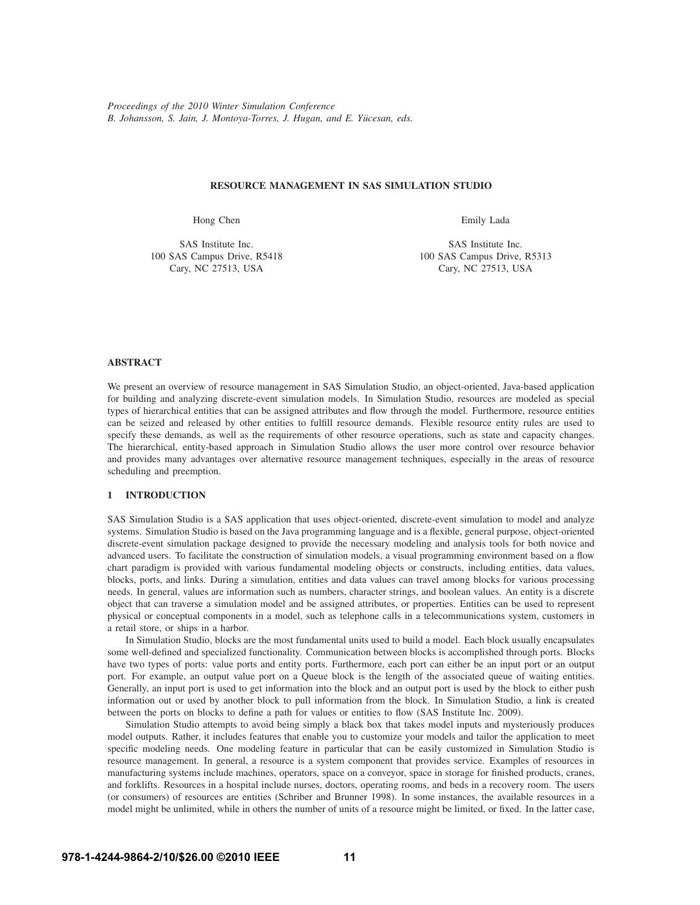*Proceedings of the 2010 Winter Simulation Conference B. Johansson, S. Jain, J. Montoya-Torres, J. Hugan, and E. Yucesan, eds. ¨*

#### **RESOURCE MANAGEMENT IN SAS SIMULATION STUDIO**

Hong Chen

Emily Lada

SAS Institute Inc. 100 SAS Campus Drive, R5418 Cary, NC 27513, USA

SAS Institute Inc. 100 SAS Campus Drive, R5313 Cary, NC 27513, USA

#### **ABSTRACT**

We present an overview of resource management in SAS Simulation Studio, an object-oriented, Java-based application for building and analyzing discrete-event simulation models. In Simulation Studio, resources are modeled as special types of hierarchical entities that can be assigned attributes and flow through the model. Furthermore, resource entities can be seized and released by other entities to fulfill resource demands. Flexible resource entity rules are used to specify these demands, as well as the requirements of other resource operations, such as state and capacity changes. The hierarchical, entity-based approach in Simulation Studio allows the user more control over resource behavior and provides many advantages over alternative resource management techniques, especially in the areas of resource scheduling and preemption.

# **1 INTRODUCTION**

SAS Simulation Studio is a SAS application that uses object-oriented, discrete-event simulation to model and analyze systems. Simulation Studio is based on the Java programming language and is a flexible, general purpose, object-oriented discrete-event simulation package designed to provide the necessary modeling and analysis tools for both novice and advanced users. To facilitate the construction of simulation models, a visual programming environment based on a flow chart paradigm is provided with various fundamental modeling objects or constructs, including entities, data values, blocks, ports, and links. During a simulation, entities and data values can travel among blocks for various processing needs. In general, values are information such as numbers, character strings, and boolean values. An entity is a discrete object that can traverse a simulation model and be assigned attributes, or properties. Entities can be used to represent physical or conceptual components in a model, such as telephone calls in a telecommunications system, customers in a retail store, or ships in a harbor.

In Simulation Studio, blocks are the most fundamental units used to build a model. Each block usually encapsulates some well-defined and specialized functionality. Communication between blocks is accomplished through ports. Blocks have two types of ports: value ports and entity ports. Furthermore, each port can either be an input port or an output port. For example, an output value port on a Queue block is the length of the associated queue of waiting entities. Generally, an input port is used to get information into the block and an output port is used by the block to either push information out or used by another block to pull information from the block. In Simulation Studio, a link is created between the ports on blocks to define a path for values or entities to flow (SAS Institute Inc. 2009).

Simulation Studio attempts to avoid being simply a black box that takes model inputs and mysteriously produces model outputs. Rather, it includes features that enable you to customize your models and tailor the application to meet specific modeling needs. One modeling feature in particular that can be easily customized in Simulation Studio is resource management. In general, a resource is a system component that provides service. Examples of resources in manufacturing systems include machines, operators, space on a conveyor, space in storage for finished products, cranes, and forklifts. Resources in a hospital include nurses, doctors, operating rooms, and beds in a recovery room. The users (or consumers) of resources are entities (Schriber and Brunner 1998). In some instances, the available resources in a model might be unlimited, while in others the number of units of a resource might be limited, or fixed. In the latter case,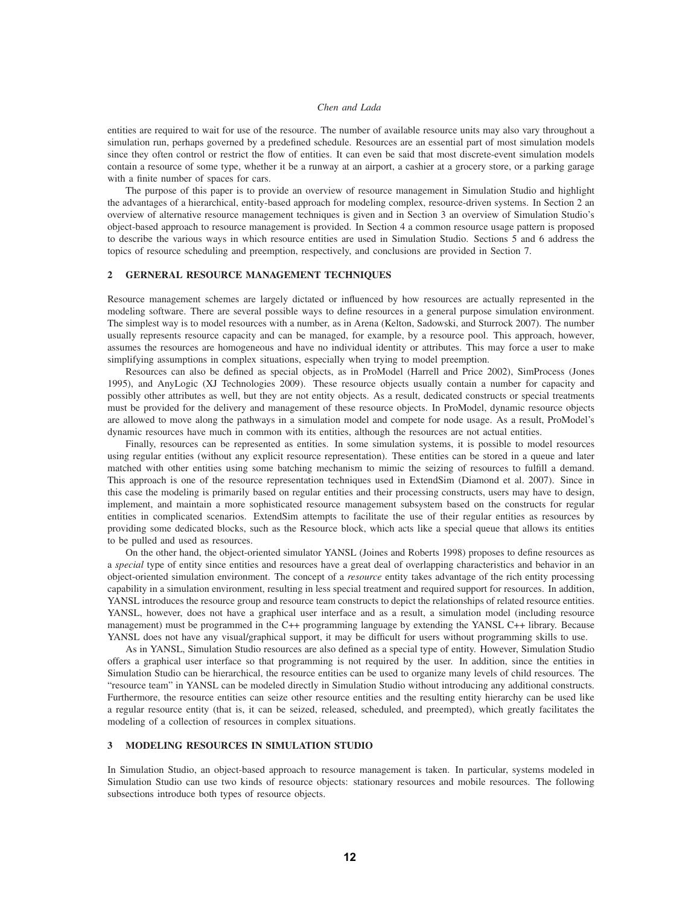entities are required to wait for use of the resource. The number of available resource units may also vary throughout a simulation run, perhaps governed by a predefined schedule. Resources are an essential part of most simulation models since they often control or restrict the flow of entities. It can even be said that most discrete-event simulation models contain a resource of some type, whether it be a runway at an airport, a cashier at a grocery store, or a parking garage with a finite number of spaces for cars.

The purpose of this paper is to provide an overview of resource management in Simulation Studio and highlight the advantages of a hierarchical, entity-based approach for modeling complex, resource-driven systems. In Section 2 an overview of alternative resource management techniques is given and in Section 3 an overview of Simulation Studio's object-based approach to resource management is provided. In Section 4 a common resource usage pattern is proposed to describe the various ways in which resource entities are used in Simulation Studio. Sections 5 and 6 address the topics of resource scheduling and preemption, respectively, and conclusions are provided in Section 7.

### **2 GERNERAL RESOURCE MANAGEMENT TECHNIQUES**

Resource management schemes are largely dictated or influenced by how resources are actually represented in the modeling software. There are several possible ways to define resources in a general purpose simulation environment. The simplest way is to model resources with a number, as in Arena (Kelton, Sadowski, and Sturrock 2007). The number usually represents resource capacity and can be managed, for example, by a resource pool. This approach, however, assumes the resources are homogeneous and have no individual identity or attributes. This may force a user to make simplifying assumptions in complex situations, especially when trying to model preemption.

Resources can also be defined as special objects, as in ProModel (Harrell and Price 2002), SimProcess (Jones 1995), and AnyLogic (XJ Technologies 2009). These resource objects usually contain a number for capacity and possibly other attributes as well, but they are not entity objects. As a result, dedicated constructs or special treatments must be provided for the delivery and management of these resource objects. In ProModel, dynamic resource objects are allowed to move along the pathways in a simulation model and compete for node usage. As a result, ProModel's dynamic resources have much in common with its entities, although the resources are not actual entities.

Finally, resources can be represented as entities. In some simulation systems, it is possible to model resources using regular entities (without any explicit resource representation). These entities can be stored in a queue and later matched with other entities using some batching mechanism to mimic the seizing of resources to fulfill a demand. This approach is one of the resource representation techniques used in ExtendSim (Diamond et al. 2007). Since in this case the modeling is primarily based on regular entities and their processing constructs, users may have to design, implement, and maintain a more sophisticated resource management subsystem based on the constructs for regular entities in complicated scenarios. ExtendSim attempts to facilitate the use of their regular entities as resources by providing some dedicated blocks, such as the Resource block, which acts like a special queue that allows its entities to be pulled and used as resources.

On the other hand, the object-oriented simulator YANSL (Joines and Roberts 1998) proposes to define resources as a *special* type of entity since entities and resources have a great deal of overlapping characteristics and behavior in an object-oriented simulation environment. The concept of a *resource* entity takes advantage of the rich entity processing capability in a simulation environment, resulting in less special treatment and required support for resources. In addition, YANSL introduces the resource group and resource team constructs to depict the relationships of related resource entities. YANSL, however, does not have a graphical user interface and as a result, a simulation model (including resource management) must be programmed in the C++ programming language by extending the YANSL C++ library. Because YANSL does not have any visual/graphical support, it may be difficult for users without programming skills to use.

As in YANSL, Simulation Studio resources are also defined as a special type of entity. However, Simulation Studio offers a graphical user interface so that programming is not required by the user. In addition, since the entities in Simulation Studio can be hierarchical, the resource entities can be used to organize many levels of child resources. The "resource team" in YANSL can be modeled directly in Simulation Studio without introducing any additional constructs. Furthermore, the resource entities can seize other resource entities and the resulting entity hierarchy can be used like a regular resource entity (that is, it can be seized, released, scheduled, and preempted), which greatly facilitates the modeling of a collection of resources in complex situations.

### **3 MODELING RESOURCES IN SIMULATION STUDIO**

In Simulation Studio, an object-based approach to resource management is taken. In particular, systems modeled in Simulation Studio can use two kinds of resource objects: stationary resources and mobile resources. The following subsections introduce both types of resource objects.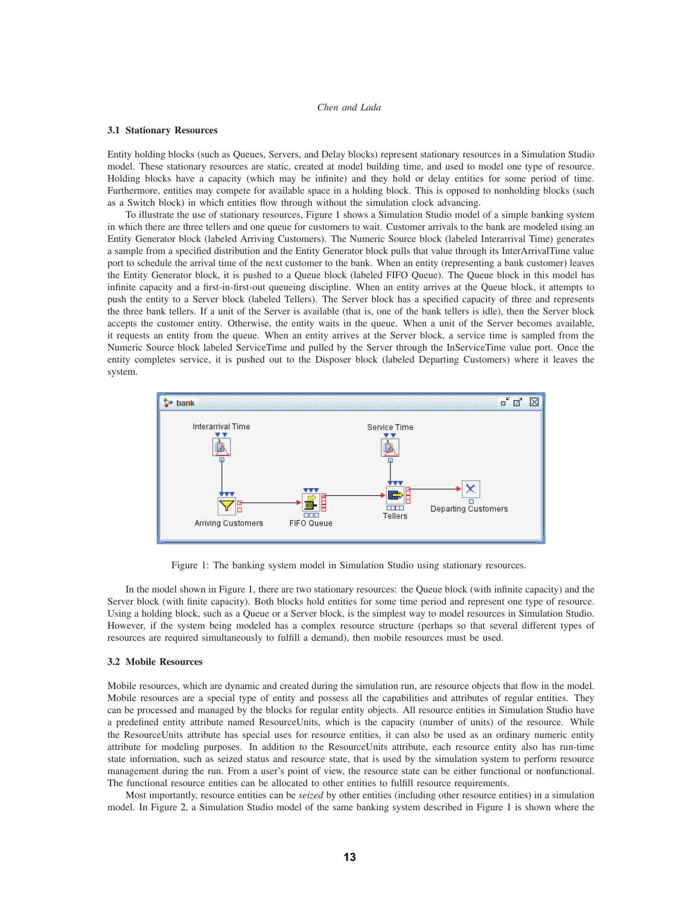### **3.1 Stationary Resources**

Entity holding blocks (such as Queues, Servers, and Delay blocks) represent stationary resources in a Simulation Studio model. These stationary resources are static, created at model building time, and used to model one type of resource. Holding blocks have a capacity (which may be infinite) and they hold or delay entities for some period of time. Furthermore, entities may compete for available space in a holding block. This is opposed to nonholding blocks (such as a Switch block) in which entities flow through without the simulation clock advancing.

To illustrate the use of stationary resources, Figure 1 shows a Simulation Studio model of a simple banking system in which there are three tellers and one queue for customers to wait. Customer arrivals to the bank are modeled using an Entity Generator block (labeled Arriving Customers). The Numeric Source block (labeled Interarrival Time) generates a sample from a specified distribution and the Entity Generator block pulls that value through its InterArrivalTime value port to schedule the arrival time of the next customer to the bank. When an entity (representing a bank customer) leaves the Entity Generator block, it is pushed to a Queue block (labeled FIFO Queue). The Queue block in this model has infinite capacity and a first-in-first-out queueing discipline. When an entity arrives at the Queue block, it attempts to push the entity to a Server block (labeled Tellers). The Server block has a specified capacity of three and represents the three bank tellers. If a unit of the Server is available (that is, one of the bank tellers is idle), then the Server block accepts the customer entity. Otherwise, the entity waits in the queue. When a unit of the Server becomes available, it requests an entity from the queue. When an entity arrives at the Server block, a service time is sampled from the Numeric Source block labeled ServiceTime and pulled by the Server through the InServiceTime value port. Once the entity completes service, it is pushed out to the Disposer block (labeled Departing Customers) where it leaves the system.



Figure 1: The banking system model in Simulation Studio using stationary resources.

In the model shown in Figure 1, there are two stationary resources: the Queue block (with infinite capacity) and the Server block (with finite capacity). Both blocks hold entities for some time period and represent one type of resource. Using a holding block, such as a Queue or a Server block, is the simplest way to model resources in Simulation Studio. However, if the system being modeled has a complex resource structure (perhaps so that several different types of resources are required simultaneously to fulfill a demand), then mobile resources must be used.

### **3.2 Mobile Resources**

Mobile resources, which are dynamic and created during the simulation run, are resource objects that flow in the model. Mobile resources are a special type of entity and possess all the capabilities and attributes of regular entities. They can be processed and managed by the blocks for regular entity objects. All resource entities in Simulation Studio have a predefined entity attribute named ResourceUnits, which is the capacity (number of units) of the resource. While the ResourceUnits attribute has special uses for resource entities, it can also be used as an ordinary numeric entity attribute for modeling purposes. In addition to the ResourceUnits attribute, each resource entity also has run-time state information, such as seized status and resource state, that is used by the simulation system to perform resource management during the run. From a user's point of view, the resource state can be either functional or nonfunctional. The functional resource entities can be allocated to other entities to fulfill resource requirements.

Most importantly, resource entities can be *seized* by other entities (including other resource entities) in a simulation model. In Figure 2, a Simulation Studio model of the same banking system described in Figure 1 is shown where the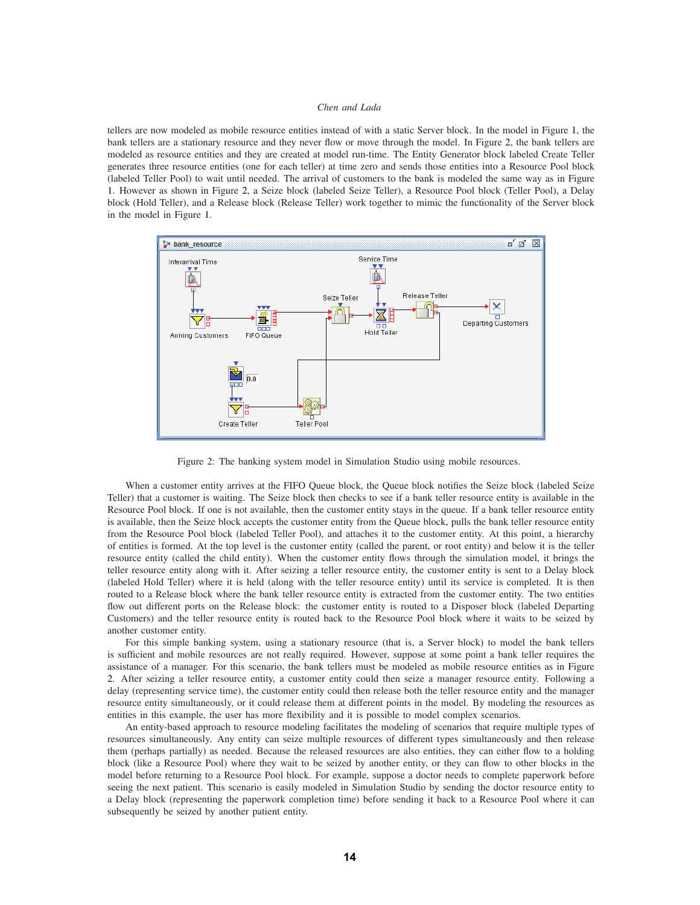tellers are now modeled as mobile resource entities instead of with a static Server block. In the model in Figure 1, the bank tellers are a stationary resource and they never flow or move through the model. In Figure 2, the bank tellers are modeled as resource entities and they are created at model run-time. The Entity Generator block labeled Create Teller generates three resource entities (one for each teller) at time zero and sends those entities into a Resource Pool block (labeled Teller Pool) to wait until needed. The arrival of customers to the bank is modeled the same way as in Figure 1. However as shown in Figure 2, a Seize block (labeled Seize Teller), a Resource Pool block (Teller Pool), a Delay block (Hold Teller), and a Release block (Release Teller) work together to mimic the functionality of the Server block in the model in Figure 1.



Figure 2: The banking system model in Simulation Studio using mobile resources.

When a customer entity arrives at the FIFO Queue block, the Queue block notifies the Seize block (labeled Seize Teller) that a customer is waiting. The Seize block then checks to see if a bank teller resource entity is available in the Resource Pool block. If one is not available, then the customer entity stays in the queue. If a bank teller resource entity is available, then the Seize block accepts the customer entity from the Queue block, pulls the bank teller resource entity from the Resource Pool block (labeled Teller Pool), and attaches it to the customer entity. At this point, a hierarchy of entities is formed. At the top level is the customer entity (called the parent, or root entity) and below it is the teller resource entity (called the child entity). When the customer entity flows through the simulation model, it brings the teller resource entity along with it. After seizing a teller resource entity, the customer entity is sent to a Delay block (labeled Hold Teller) where it is held (along with the teller resource entity) until its service is completed. It is then routed to a Release block where the bank teller resource entity is extracted from the customer entity. The two entities flow out different ports on the Release block: the customer entity is routed to a Disposer block (labeled Departing Customers) and the teller resource entity is routed back to the Resource Pool block where it waits to be seized by another customer entity.

For this simple banking system, using a stationary resource (that is, a Server block) to model the bank tellers is sufficient and mobile resources are not really required. However, suppose at some point a bank teller requires the assistance of a manager. For this scenario, the bank tellers must be modeled as mobile resource entities as in Figure 2. After seizing a teller resource entity, a customer entity could then seize a manager resource entity. Following a delay (representing service time), the customer entity could then release both the teller resource entity and the manager resource entity simultaneously, or it could release them at different points in the model. By modeling the resources as entities in this example, the user has more flexibility and it is possible to model complex scenarios.

An entity-based approach to resource modeling facilitates the modeling of scenarios that require multiple types of resources simultaneously. Any entity can seize multiple resources of different types simultaneously and then release them (perhaps partially) as needed. Because the released resources are also entities, they can either flow to a holding block (like a Resource Pool) where they wait to be seized by another entity, or they can flow to other blocks in the model before returning to a Resource Pool block. For example, suppose a doctor needs to complete paperwork before seeing the next patient. This scenario is easily modeled in Simulation Studio by sending the doctor resource entity to a Delay block (representing the paperwork completion time) before sending it back to a Resource Pool where it can subsequently be seized by another patient entity.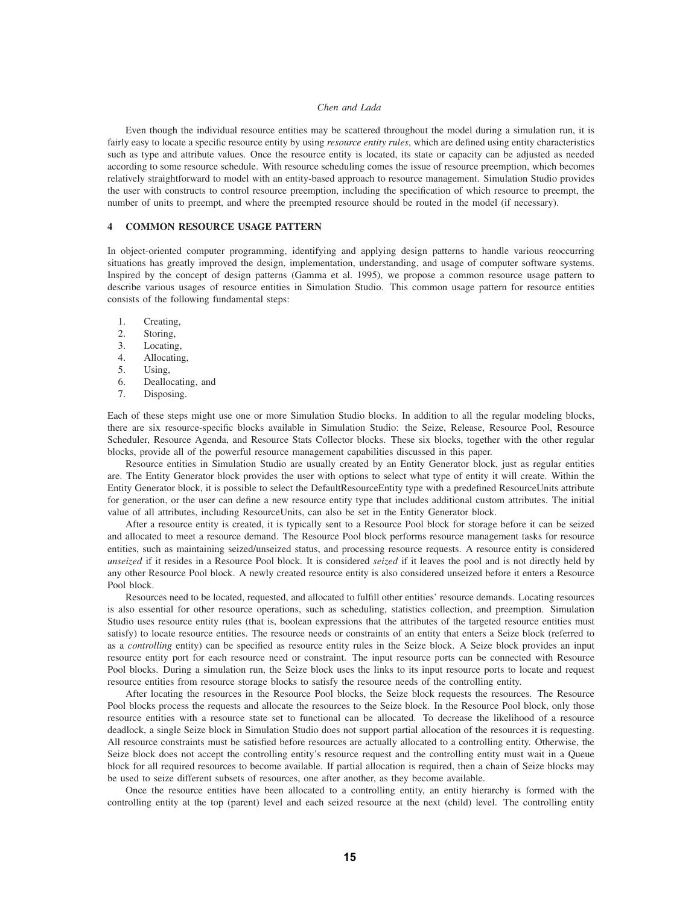Even though the individual resource entities may be scattered throughout the model during a simulation run, it is fairly easy to locate a specific resource entity by using *resource entity rules*, which are defined using entity characteristics such as type and attribute values. Once the resource entity is located, its state or capacity can be adjusted as needed according to some resource schedule. With resource scheduling comes the issue of resource preemption, which becomes relatively straightforward to model with an entity-based approach to resource management. Simulation Studio provides the user with constructs to control resource preemption, including the specification of which resource to preempt, the number of units to preempt, and where the preempted resource should be routed in the model (if necessary).

### **4 COMMON RESOURCE USAGE PATTERN**

In object-oriented computer programming, identifying and applying design patterns to handle various reoccurring situations has greatly improved the design, implementation, understanding, and usage of computer software systems. Inspired by the concept of design patterns (Gamma et al. 1995), we propose a common resource usage pattern to describe various usages of resource entities in Simulation Studio. This common usage pattern for resource entities consists of the following fundamental steps:

- 1. Creating,
- 2. Storing,
- 3. Locating,
- 4. Allocating,
- 5. Using,
- 6. Deallocating, and
- 7. Disposing.

Each of these steps might use one or more Simulation Studio blocks. In addition to all the regular modeling blocks, there are six resource-specific blocks available in Simulation Studio: the Seize, Release, Resource Pool, Resource Scheduler, Resource Agenda, and Resource Stats Collector blocks. These six blocks, together with the other regular blocks, provide all of the powerful resource management capabilities discussed in this paper.

Resource entities in Simulation Studio are usually created by an Entity Generator block, just as regular entities are. The Entity Generator block provides the user with options to select what type of entity it will create. Within the Entity Generator block, it is possible to select the DefaultResourceEntity type with a predefined ResourceUnits attribute for generation, or the user can define a new resource entity type that includes additional custom attributes. The initial value of all attributes, including ResourceUnits, can also be set in the Entity Generator block.

After a resource entity is created, it is typically sent to a Resource Pool block for storage before it can be seized and allocated to meet a resource demand. The Resource Pool block performs resource management tasks for resource entities, such as maintaining seized/unseized status, and processing resource requests. A resource entity is considered *unseized* if it resides in a Resource Pool block. It is considered *seized* if it leaves the pool and is not directly held by any other Resource Pool block. A newly created resource entity is also considered unseized before it enters a Resource Pool block.

Resources need to be located, requested, and allocated to fulfill other entities' resource demands. Locating resources is also essential for other resource operations, such as scheduling, statistics collection, and preemption. Simulation Studio uses resource entity rules (that is, boolean expressions that the attributes of the targeted resource entities must satisfy) to locate resource entities. The resource needs or constraints of an entity that enters a Seize block (referred to as a *controlling* entity) can be specified as resource entity rules in the Seize block. A Seize block provides an input resource entity port for each resource need or constraint. The input resource ports can be connected with Resource Pool blocks. During a simulation run, the Seize block uses the links to its input resource ports to locate and request resource entities from resource storage blocks to satisfy the resource needs of the controlling entity.

After locating the resources in the Resource Pool blocks, the Seize block requests the resources. The Resource Pool blocks process the requests and allocate the resources to the Seize block. In the Resource Pool block, only those resource entities with a resource state set to functional can be allocated. To decrease the likelihood of a resource deadlock, a single Seize block in Simulation Studio does not support partial allocation of the resources it is requesting. All resource constraints must be satisfied before resources are actually allocated to a controlling entity. Otherwise, the Seize block does not accept the controlling entity's resource request and the controlling entity must wait in a Queue block for all required resources to become available. If partial allocation is required, then a chain of Seize blocks may be used to seize different subsets of resources, one after another, as they become available.

Once the resource entities have been allocated to a controlling entity, an entity hierarchy is formed with the controlling entity at the top (parent) level and each seized resource at the next (child) level. The controlling entity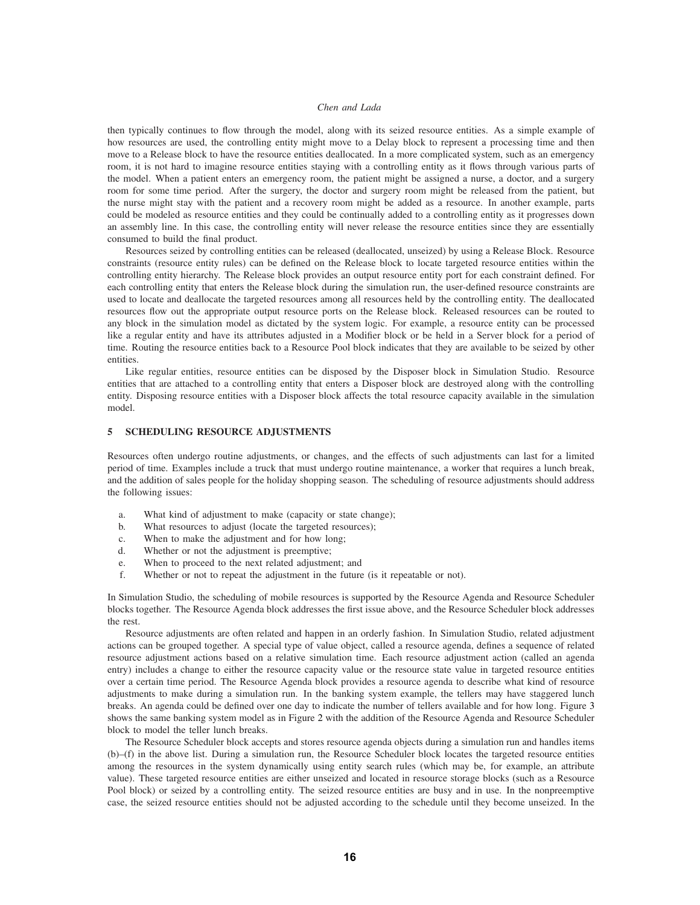then typically continues to flow through the model, along with its seized resource entities. As a simple example of how resources are used, the controlling entity might move to a Delay block to represent a processing time and then move to a Release block to have the resource entities deallocated. In a more complicated system, such as an emergency room, it is not hard to imagine resource entities staying with a controlling entity as it flows through various parts of the model. When a patient enters an emergency room, the patient might be assigned a nurse, a doctor, and a surgery room for some time period. After the surgery, the doctor and surgery room might be released from the patient, but the nurse might stay with the patient and a recovery room might be added as a resource. In another example, parts could be modeled as resource entities and they could be continually added to a controlling entity as it progresses down an assembly line. In this case, the controlling entity will never release the resource entities since they are essentially consumed to build the final product.

Resources seized by controlling entities can be released (deallocated, unseized) by using a Release Block. Resource constraints (resource entity rules) can be defined on the Release block to locate targeted resource entities within the controlling entity hierarchy. The Release block provides an output resource entity port for each constraint defined. For each controlling entity that enters the Release block during the simulation run, the user-defined resource constraints are used to locate and deallocate the targeted resources among all resources held by the controlling entity. The deallocated resources flow out the appropriate output resource ports on the Release block. Released resources can be routed to any block in the simulation model as dictated by the system logic. For example, a resource entity can be processed like a regular entity and have its attributes adjusted in a Modifier block or be held in a Server block for a period of time. Routing the resource entities back to a Resource Pool block indicates that they are available to be seized by other entities.

Like regular entities, resource entities can be disposed by the Disposer block in Simulation Studio. Resource entities that are attached to a controlling entity that enters a Disposer block are destroyed along with the controlling entity. Disposing resource entities with a Disposer block affects the total resource capacity available in the simulation model.

### **5 SCHEDULING RESOURCE ADJUSTMENTS**

Resources often undergo routine adjustments, or changes, and the effects of such adjustments can last for a limited period of time. Examples include a truck that must undergo routine maintenance, a worker that requires a lunch break, and the addition of sales people for the holiday shopping season. The scheduling of resource adjustments should address the following issues:

- a. What kind of adjustment to make (capacity or state change);
- b. What resources to adjust (locate the targeted resources);
- c. When to make the adjustment and for how long;
- d. Whether or not the adjustment is preemptive;
- e. When to proceed to the next related adjustment; and
- f. Whether or not to repeat the adjustment in the future (is it repeatable or not).

In Simulation Studio, the scheduling of mobile resources is supported by the Resource Agenda and Resource Scheduler blocks together. The Resource Agenda block addresses the first issue above, and the Resource Scheduler block addresses the rest.

Resource adjustments are often related and happen in an orderly fashion. In Simulation Studio, related adjustment actions can be grouped together. A special type of value object, called a resource agenda, defines a sequence of related resource adjustment actions based on a relative simulation time. Each resource adjustment action (called an agenda entry) includes a change to either the resource capacity value or the resource state value in targeted resource entities over a certain time period. The Resource Agenda block provides a resource agenda to describe what kind of resource adjustments to make during a simulation run. In the banking system example, the tellers may have staggered lunch breaks. An agenda could be defined over one day to indicate the number of tellers available and for how long. Figure 3 shows the same banking system model as in Figure 2 with the addition of the Resource Agenda and Resource Scheduler block to model the teller lunch breaks.

The Resource Scheduler block accepts and stores resource agenda objects during a simulation run and handles items (b)–(f) in the above list. During a simulation run, the Resource Scheduler block locates the targeted resource entities among the resources in the system dynamically using entity search rules (which may be, for example, an attribute value). These targeted resource entities are either unseized and located in resource storage blocks (such as a Resource Pool block) or seized by a controlling entity. The seized resource entities are busy and in use. In the nonpreemptive case, the seized resource entities should not be adjusted according to the schedule until they become unseized. In the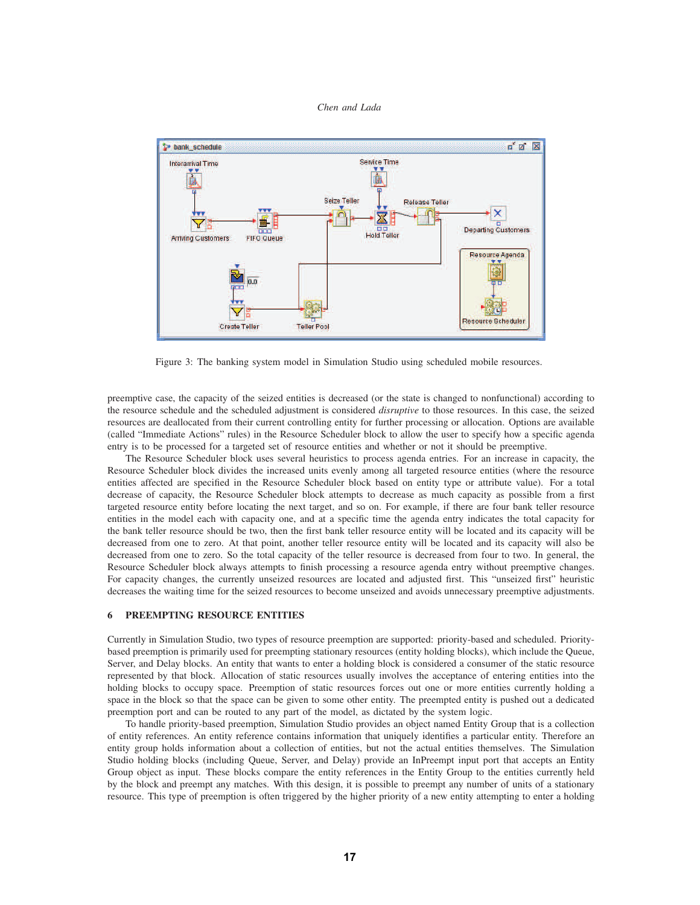

Figure 3: The banking system model in Simulation Studio using scheduled mobile resources.

preemptive case, the capacity of the seized entities is decreased (or the state is changed to nonfunctional) according to the resource schedule and the scheduled adjustment is considered *disruptive* to those resources. In this case, the seized resources are deallocated from their current controlling entity for further processing or allocation. Options are available (called "Immediate Actions" rules) in the Resource Scheduler block to allow the user to specify how a specific agenda entry is to be processed for a targeted set of resource entities and whether or not it should be preemptive.

The Resource Scheduler block uses several heuristics to process agenda entries. For an increase in capacity, the Resource Scheduler block divides the increased units evenly among all targeted resource entities (where the resource entities affected are specified in the Resource Scheduler block based on entity type or attribute value). For a total decrease of capacity, the Resource Scheduler block attempts to decrease as much capacity as possible from a first targeted resource entity before locating the next target, and so on. For example, if there are four bank teller resource entities in the model each with capacity one, and at a specific time the agenda entry indicates the total capacity for the bank teller resource should be two, then the first bank teller resource entity will be located and its capacity will be decreased from one to zero. At that point, another teller resource entity will be located and its capacity will also be decreased from one to zero. So the total capacity of the teller resource is decreased from four to two. In general, the Resource Scheduler block always attempts to finish processing a resource agenda entry without preemptive changes. For capacity changes, the currently unseized resources are located and adjusted first. This "unseized first" heuristic decreases the waiting time for the seized resources to become unseized and avoids unnecessary preemptive adjustments.

### **6 PREEMPTING RESOURCE ENTITIES**

Currently in Simulation Studio, two types of resource preemption are supported: priority-based and scheduled. Prioritybased preemption is primarily used for preempting stationary resources (entity holding blocks), which include the Queue, Server, and Delay blocks. An entity that wants to enter a holding block is considered a consumer of the static resource represented by that block. Allocation of static resources usually involves the acceptance of entering entities into the holding blocks to occupy space. Preemption of static resources forces out one or more entities currently holding a space in the block so that the space can be given to some other entity. The preempted entity is pushed out a dedicated preemption port and can be routed to any part of the model, as dictated by the system logic.

To handle priority-based preemption, Simulation Studio provides an object named Entity Group that is a collection of entity references. An entity reference contains information that uniquely identifies a particular entity. Therefore an entity group holds information about a collection of entities, but not the actual entities themselves. The Simulation Studio holding blocks (including Queue, Server, and Delay) provide an InPreempt input port that accepts an Entity Group object as input. These blocks compare the entity references in the Entity Group to the entities currently held by the block and preempt any matches. With this design, it is possible to preempt any number of units of a stationary resource. This type of preemption is often triggered by the higher priority of a new entity attempting to enter a holding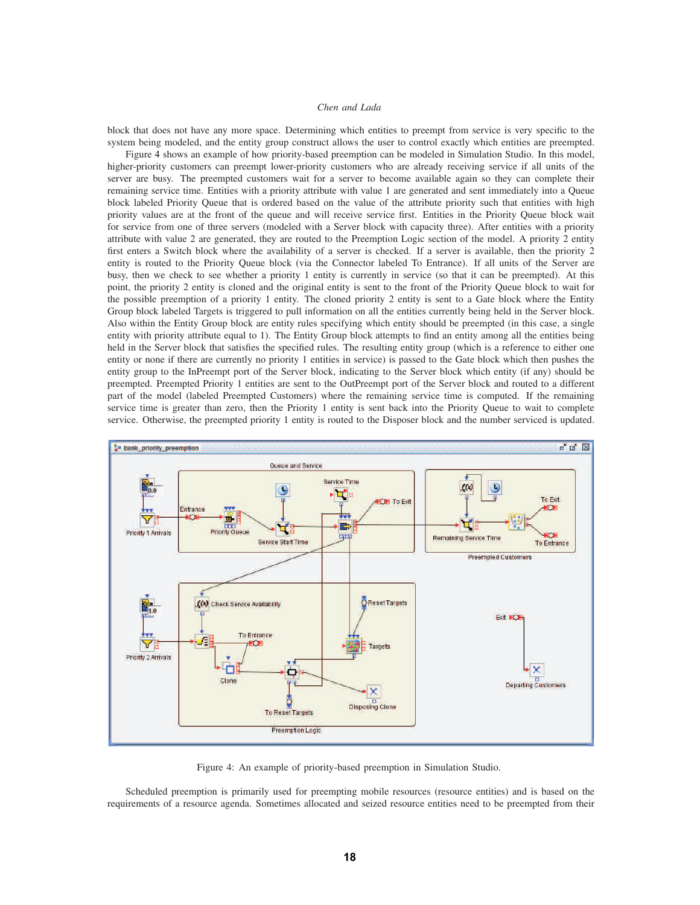block that does not have any more space. Determining which entities to preempt from service is very specific to the system being modeled, and the entity group construct allows the user to control exactly which entities are preempted.

Figure 4 shows an example of how priority-based preemption can be modeled in Simulation Studio. In this model, higher-priority customers can preempt lower-priority customers who are already receiving service if all units of the server are busy. The preempted customers wait for a server to become available again so they can complete their remaining service time. Entities with a priority attribute with value 1 are generated and sent immediately into a Queue block labeled Priority Queue that is ordered based on the value of the attribute priority such that entities with high priority values are at the front of the queue and will receive service first. Entities in the Priority Queue block wait for service from one of three servers (modeled with a Server block with capacity three). After entities with a priority attribute with value 2 are generated, they are routed to the Preemption Logic section of the model. A priority 2 entity first enters a Switch block where the availability of a server is checked. If a server is available, then the priority 2 entity is routed to the Priority Queue block (via the Connector labeled To Entrance). If all units of the Server are busy, then we check to see whether a priority 1 entity is currently in service (so that it can be preempted). At this point, the priority 2 entity is cloned and the original entity is sent to the front of the Priority Queue block to wait for the possible preemption of a priority 1 entity. The cloned priority 2 entity is sent to a Gate block where the Entity Group block labeled Targets is triggered to pull information on all the entities currently being held in the Server block. Also within the Entity Group block are entity rules specifying which entity should be preempted (in this case, a single entity with priority attribute equal to 1). The Entity Group block attempts to find an entity among all the entities being held in the Server block that satisfies the specified rules. The resulting entity group (which is a reference to either one entity or none if there are currently no priority 1 entities in service) is passed to the Gate block which then pushes the entity group to the InPreempt port of the Server block, indicating to the Server block which entity (if any) should be preempted. Preempted Priority 1 entities are sent to the OutPreempt port of the Server block and routed to a different part of the model (labeled Preempted Customers) where the remaining service time is computed. If the remaining service time is greater than zero, then the Priority 1 entity is sent back into the Priority Queue to wait to complete service. Otherwise, the preempted priority 1 entity is routed to the Disposer block and the number serviced is updated.



Figure 4: An example of priority-based preemption in Simulation Studio.

Scheduled preemption is primarily used for preempting mobile resources (resource entities) and is based on the requirements of a resource agenda. Sometimes allocated and seized resource entities need to be preempted from their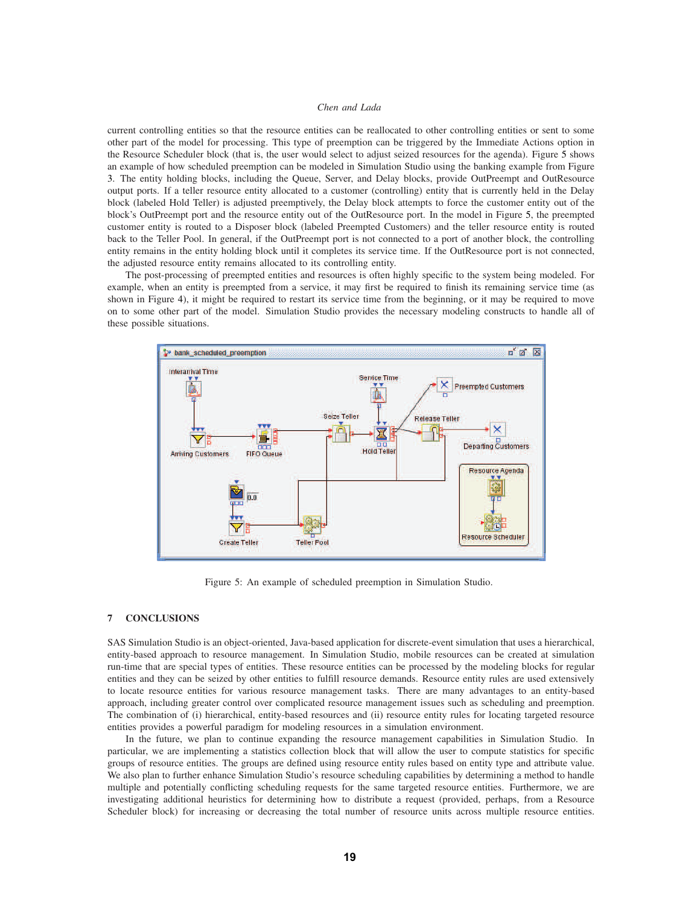current controlling entities so that the resource entities can be reallocated to other controlling entities or sent to some other part of the model for processing. This type of preemption can be triggered by the Immediate Actions option in the Resource Scheduler block (that is, the user would select to adjust seized resources for the agenda). Figure 5 shows an example of how scheduled preemption can be modeled in Simulation Studio using the banking example from Figure 3. The entity holding blocks, including the Queue, Server, and Delay blocks, provide OutPreempt and OutResource output ports. If a teller resource entity allocated to a customer (controlling) entity that is currently held in the Delay block (labeled Hold Teller) is adjusted preemptively, the Delay block attempts to force the customer entity out of the block's OutPreempt port and the resource entity out of the OutResource port. In the model in Figure 5, the preempted customer entity is routed to a Disposer block (labeled Preempted Customers) and the teller resource entity is routed back to the Teller Pool. In general, if the OutPreempt port is not connected to a port of another block, the controlling entity remains in the entity holding block until it completes its service time. If the OutResource port is not connected, the adjusted resource entity remains allocated to its controlling entity.

The post-processing of preempted entities and resources is often highly specific to the system being modeled. For example, when an entity is preempted from a service, it may first be required to finish its remaining service time (as shown in Figure 4), it might be required to restart its service time from the beginning, or it may be required to move on to some other part of the model. Simulation Studio provides the necessary modeling constructs to handle all of these possible situations.



Figure 5: An example of scheduled preemption in Simulation Studio.

#### **7 CONCLUSIONS**

SAS Simulation Studio is an object-oriented, Java-based application for discrete-event simulation that uses a hierarchical, entity-based approach to resource management. In Simulation Studio, mobile resources can be created at simulation run-time that are special types of entities. These resource entities can be processed by the modeling blocks for regular entities and they can be seized by other entities to fulfill resource demands. Resource entity rules are used extensively to locate resource entities for various resource management tasks. There are many advantages to an entity-based approach, including greater control over complicated resource management issues such as scheduling and preemption. The combination of (i) hierarchical, entity-based resources and (ii) resource entity rules for locating targeted resource entities provides a powerful paradigm for modeling resources in a simulation environment.

In the future, we plan to continue expanding the resource management capabilities in Simulation Studio. In particular, we are implementing a statistics collection block that will allow the user to compute statistics for specific groups of resource entities. The groups are defined using resource entity rules based on entity type and attribute value. We also plan to further enhance Simulation Studio's resource scheduling capabilities by determining a method to handle multiple and potentially conflicting scheduling requests for the same targeted resource entities. Furthermore, we are investigating additional heuristics for determining how to distribute a request (provided, perhaps, from a Resource Scheduler block) for increasing or decreasing the total number of resource units across multiple resource entities.